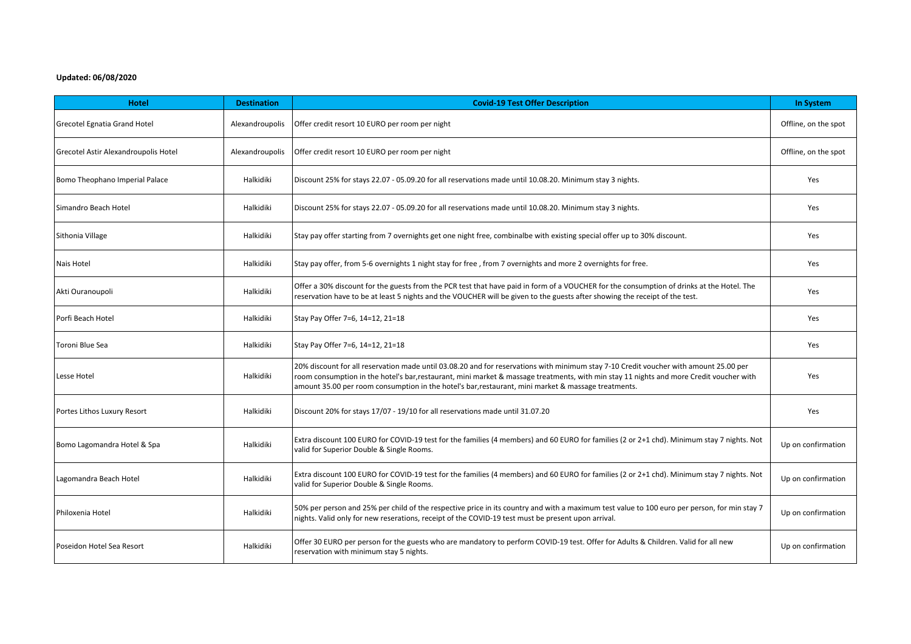## **Updated: 06/08/2020**

| <b>Hotel</b>                         | <b>Destination</b> | <b>Covid-19 Test Offer Description</b>                                                                                                                                                                                                                                                                                                                                                  | In System            |
|--------------------------------------|--------------------|-----------------------------------------------------------------------------------------------------------------------------------------------------------------------------------------------------------------------------------------------------------------------------------------------------------------------------------------------------------------------------------------|----------------------|
| <b>Grecotel Egnatia Grand Hotel</b>  | Alexandroupolis    | Offer credit resort 10 EURO per room per night                                                                                                                                                                                                                                                                                                                                          | Offline, on the spot |
| Grecotel Astir Alexandroupolis Hotel | Alexandroupolis    | Offer credit resort 10 EURO per room per night                                                                                                                                                                                                                                                                                                                                          | Offline, on the spot |
| Bomo Theophano Imperial Palace       | Halkidiki          | Discount 25% for stays 22.07 - 05.09.20 for all reservations made until 10.08.20. Minimum stay 3 nights.                                                                                                                                                                                                                                                                                | Yes                  |
| Simandro Beach Hotel                 | Halkidiki          | Discount 25% for stays 22.07 - 05.09.20 for all reservations made until 10.08.20. Minimum stay 3 nights.                                                                                                                                                                                                                                                                                | Yes                  |
| Sithonia Village                     | Halkidiki          | Stay pay offer starting from 7 overnights get one night free, combinalbe with existing special offer up to 30% discount.                                                                                                                                                                                                                                                                | Yes                  |
| Nais Hotel                           | Halkidiki          | Stay pay offer, from 5-6 overnights 1 night stay for free, from 7 overnights and more 2 overnights for free.                                                                                                                                                                                                                                                                            | Yes                  |
| Akti Ouranoupoli                     | Halkidiki          | Offer a 30% discount for the guests from the PCR test that have paid in form of a VOUCHER for the consumption of drinks at the Hotel. The<br>reservation have to be at least 5 nights and the VOUCHER will be given to the guests after showing the receipt of the test.                                                                                                                | Yes                  |
| Porfi Beach Hotel                    | Halkidiki          | Stay Pay Offer 7=6, 14=12, 21=18                                                                                                                                                                                                                                                                                                                                                        | Yes                  |
| Toroni Blue Sea                      | Halkidiki          | Stay Pay Offer 7=6, 14=12, 21=18                                                                                                                                                                                                                                                                                                                                                        | Yes                  |
| Lesse Hotel                          | Halkidiki          | 20% discount for all reservation made until 03.08.20 and for reservations with minimum stay 7-10 Credit voucher with amount 25.00 per<br>room consumption in the hotel's bar, restaurant, mini market & massage treatments, with min stay 11 nights and more Credit voucher with<br>amount 35.00 per room consumption in the hotel's bar, restaurant, mini market & massage treatments. | Yes                  |
| Portes Lithos Luxury Resort          | Halkidiki          | Discount 20% for stays 17/07 - 19/10 for all reservations made until 31.07.20                                                                                                                                                                                                                                                                                                           | Yes                  |
| Bomo Lagomandra Hotel & Spa          | Halkidiki          | Extra discount 100 EURO for COVID-19 test for the families (4 members) and 60 EURO for families (2 or 2+1 chd). Minimum stay 7 nights. Not<br>valid for Superior Double & Single Rooms.                                                                                                                                                                                                 | Up on confirmation   |
| Lagomandra Beach Hotel               | Halkidiki          | Extra discount 100 EURO for COVID-19 test for the families (4 members) and 60 EURO for families (2 or 2+1 chd). Minimum stay 7 nights. Not<br>valid for Superior Double & Single Rooms.                                                                                                                                                                                                 | Up on confirmation   |
| Philoxenia Hotel                     | Halkidiki          | 50% per person and 25% per child of the respective price in its country and with a maximum test value to 100 euro per person, for min stay 7<br>nights. Valid only for new reserations, receipt of the COVID-19 test must be present upon arrival.                                                                                                                                      | Up on confirmation   |
| Poseidon Hotel Sea Resort            | Halkidiki          | Offer 30 EURO per person for the guests who are mandatory to perform COVID-19 test. Offer for Adults & Children. Valid for all new<br>reservation with minimum stay 5 nights.                                                                                                                                                                                                           | Up on confirmation   |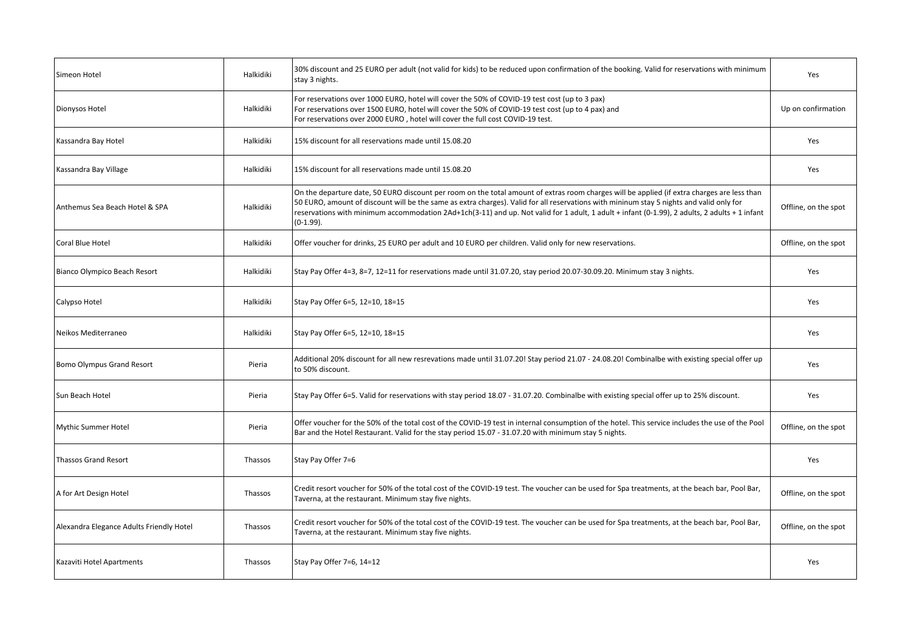| Simeon Hotel                             | Halkidiki | 30% discount and 25 EURO per adult (not valid for kids) to be reduced upon confirmation of the booking. Valid for reservations with minimum<br>stay 3 nights.                                                                                                                                                                                                                                                                                            | Yes                  |
|------------------------------------------|-----------|----------------------------------------------------------------------------------------------------------------------------------------------------------------------------------------------------------------------------------------------------------------------------------------------------------------------------------------------------------------------------------------------------------------------------------------------------------|----------------------|
| Dionysos Hotel                           | Halkidiki | For reservations over 1000 EURO, hotel will cover the 50% of COVID-19 test cost (up to 3 pax)<br>For reservations over 1500 EURO, hotel will cover the 50% of COVID-19 test cost (up to 4 pax) and<br>For reservations over 2000 EURO, hotel will cover the full cost COVID-19 test.                                                                                                                                                                     | Up on confirmation   |
| Kassandra Bay Hotel                      | Halkidiki | 15% discount for all reservations made until 15.08.20                                                                                                                                                                                                                                                                                                                                                                                                    | Yes                  |
| Kassandra Bay Village                    | Halkidiki | 15% discount for all reservations made until 15.08.20                                                                                                                                                                                                                                                                                                                                                                                                    | Yes                  |
| Anthemus Sea Beach Hotel & SPA           | Halkidiki | On the departure date, 50 EURO discount per room on the total amount of extras room charges will be applied (if extra charges are less than<br>50 EURO, amount of discount will be the same as extra charges). Valid for all reservations with mininum stay 5 nights and valid only for<br>reservations with minimum accommodation 2Ad+1ch(3-11) and up. Not valid for 1 adult, 1 adult + infant (0-1.99), 2 adults, 2 adults + 1 infant<br>$(0-1.99)$ . | Offline, on the spot |
| Coral Blue Hotel                         | Halkidiki | Offer voucher for drinks, 25 EURO per adult and 10 EURO per children. Valid only for new reservations.                                                                                                                                                                                                                                                                                                                                                   | Offline, on the spot |
| Bianco Olympico Beach Resort             | Halkidiki | Stay Pay Offer 4=3, 8=7, 12=11 for reservations made until 31.07.20, stay period 20.07-30.09.20. Minimum stay 3 nights.                                                                                                                                                                                                                                                                                                                                  | Yes                  |
| Calypso Hotel                            | Halkidiki | Stay Pay Offer 6=5, 12=10, 18=15                                                                                                                                                                                                                                                                                                                                                                                                                         | Yes                  |
| Neikos Mediterraneo                      | Halkidiki | Stay Pay Offer 6=5, 12=10, 18=15                                                                                                                                                                                                                                                                                                                                                                                                                         | Yes                  |
| Bomo Olympus Grand Resort                | Pieria    | Additional 20% discount for all new resrevations made until 31.07.20! Stay period 21.07 - 24.08.20! Combinalbe with existing special offer up<br>to 50% discount.                                                                                                                                                                                                                                                                                        | Yes                  |
| Sun Beach Hotel                          | Pieria    | Stay Pay Offer 6=5. Valid for reservations with stay period 18.07 - 31.07.20. Combinalbe with existing special offer up to 25% discount.                                                                                                                                                                                                                                                                                                                 | Yes                  |
| <b>Mythic Summer Hotel</b>               | Pieria    | Offer voucher for the 50% of the total cost of the COVID-19 test in internal consumption of the hotel. This service includes the use of the Pool<br>Bar and the Hotel Restaurant. Valid for the stay period 15.07 - 31.07.20 with minimum stay 5 nights.                                                                                                                                                                                                 | Offline, on the spot |
| <b>Thassos Grand Resort</b>              | Thassos   | Stay Pay Offer 7=6                                                                                                                                                                                                                                                                                                                                                                                                                                       | Yes                  |
| A for Art Design Hotel                   | Thassos   | Credit resort voucher for 50% of the total cost of the COVID-19 test. The voucher can be used for Spa treatments, at the beach bar, Pool Bar,<br>Taverna, at the restaurant. Minimum stay five nights.                                                                                                                                                                                                                                                   | Offline, on the spot |
| Alexandra Elegance Adults Friendly Hotel | Thassos   | Credit resort voucher for 50% of the total cost of the COVID-19 test. The voucher can be used for Spa treatments, at the beach bar, Pool Bar,<br>Taverna, at the restaurant. Minimum stay five nights.                                                                                                                                                                                                                                                   | Offline, on the spot |
| Kazaviti Hotel Apartments                | Thassos   | Stay Pay Offer 7=6, 14=12                                                                                                                                                                                                                                                                                                                                                                                                                                | Yes                  |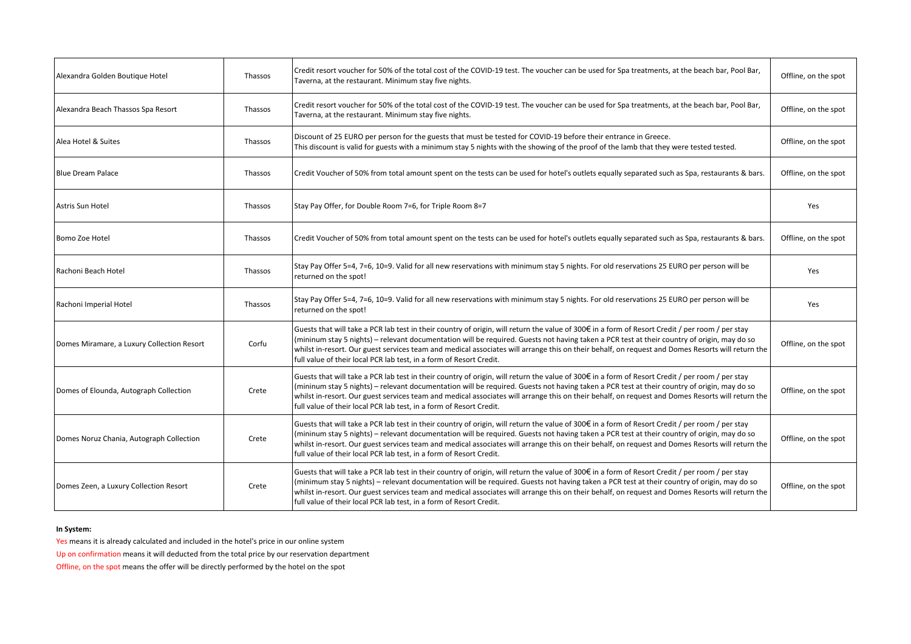| Alexandra Golden Boutique Hotel            | Thassos | Credit resort voucher for 50% of the total cost of the COVID-19 test. The voucher can be used for Spa treatments, at the beach bar, Pool Bar,<br>Taverna, at the restaurant. Minimum stay five nights.                                                                                                                                                                                                                                                                                                                    | Offline, on the spot |
|--------------------------------------------|---------|---------------------------------------------------------------------------------------------------------------------------------------------------------------------------------------------------------------------------------------------------------------------------------------------------------------------------------------------------------------------------------------------------------------------------------------------------------------------------------------------------------------------------|----------------------|
| Alexandra Beach Thassos Spa Resort         | Thassos | Credit resort voucher for 50% of the total cost of the COVID-19 test. The voucher can be used for Spa treatments, at the beach bar, Pool Bar,<br>Taverna, at the restaurant. Minimum stay five nights.                                                                                                                                                                                                                                                                                                                    | Offline, on the spot |
| Alea Hotel & Suites                        | Thassos | Discount of 25 EURO per person for the guests that must be tested for COVID-19 before their entrance in Greece.<br>This discount is valid for guests with a minimum stay 5 nights with the showing of the proof of the lamb that they were tested tested.                                                                                                                                                                                                                                                                 | Offline, on the spot |
| Blue Dream Palace                          | Thassos | Credit Voucher of 50% from total amount spent on the tests can be used for hotel's outlets equally separated such as Spa, restaurants & bars.                                                                                                                                                                                                                                                                                                                                                                             | Offline, on the spot |
| Astris Sun Hotel                           | Thassos | Stay Pay Offer, for Double Room 7=6, for Triple Room 8=7                                                                                                                                                                                                                                                                                                                                                                                                                                                                  | Yes                  |
| l Bomo Zoe Hotel                           | Thassos | Credit Voucher of 50% from total amount spent on the tests can be used for hotel's outlets equally separated such as Spa, restaurants & bars.                                                                                                                                                                                                                                                                                                                                                                             | Offline, on the spot |
| Rachoni Beach Hotel                        | Thassos | Stay Pay Offer 5=4, 7=6, 10=9. Valid for all new reservations with minimum stay 5 nights. For old reservations 25 EURO per person will be<br>returned on the spot!                                                                                                                                                                                                                                                                                                                                                        | Yes                  |
| Rachoni Imperial Hotel                     | Thassos | Stay Pay Offer 5=4, 7=6, 10=9. Valid for all new reservations with minimum stay 5 nights. For old reservations 25 EURO per person will be<br>returned on the spot!                                                                                                                                                                                                                                                                                                                                                        | Yes                  |
| Domes Miramare, a Luxury Collection Resort | Corfu   | Guests that will take a PCR lab test in their country of origin, will return the value of 300€ in a form of Resort Credit / per room / per stay<br>(mininum stay 5 nights) - relevant documentation will be required. Guests not having taken a PCR test at their country of origin, may do so<br>whilst in-resort. Our guest services team and medical associates will arrange this on their behalf, on request and Domes Resorts will return the<br>full value of their local PCR lab test, in a form of Resort Credit. | Offline, on the spot |
| Domes of Elounda, Autograph Collection     | Crete   | Guests that will take a PCR lab test in their country of origin, will return the value of 300€ in a form of Resort Credit / per room / per stay<br>(mininum stay 5 nights) - relevant documentation will be required. Guests not having taken a PCR test at their country of origin, may do so<br>whilst in-resort. Our guest services team and medical associates will arrange this on their behalf, on request and Domes Resorts will return the<br>full value of their local PCR lab test, in a form of Resort Credit. | Offline, on the spot |
| Domes Noruz Chania, Autograph Collection   | Crete   | Guests that will take a PCR lab test in their country of origin, will return the value of 300€ in a form of Resort Credit / per room / per stay<br>(mininum stay 5 nights) - relevant documentation will be required. Guests not having taken a PCR test at their country of origin, may do so<br>whilst in-resort. Our guest services team and medical associates will arrange this on their behalf, on request and Domes Resorts will return the<br>full value of their local PCR lab test, in a form of Resort Credit. | Offline, on the spot |
| Domes Zeen, a Luxury Collection Resort     | Crete   | Guests that will take a PCR lab test in their country of origin, will return the value of 300€ in a form of Resort Credit / per room / per stay<br>(minimum stay 5 nights) - relevant documentation will be required. Guests not having taken a PCR test at their country of origin, may do so<br>whilst in-resort. Our guest services team and medical associates will arrange this on their behalf, on request and Domes Resorts will return the<br>full value of their local PCR lab test, in a form of Resort Credit. | Offline, on the spot |

## **In System:**

Yes means it is already calculated and included in the hotel's price in our online system

Up on confirmation means it will deducted from the total price by our reservation department

Offline, on the spot means the offer will be directly performed by the hotel on the spot